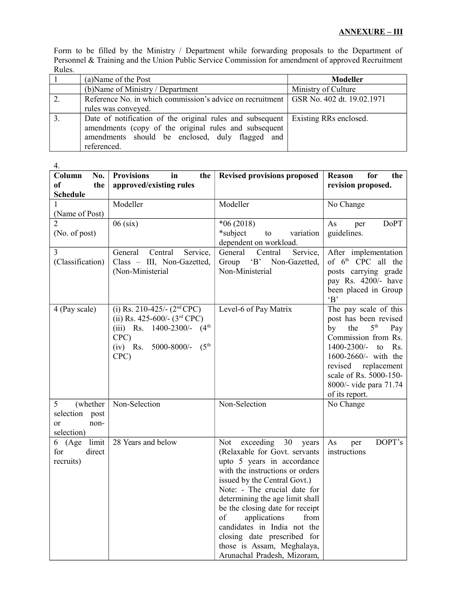Form to be filled by the Ministry / Department while forwarding proposals to the Department of Personnel & Training and the Union Public Service Commission for amendment of approved Recruitment Rules.

|    | (a) Name of the Post                                                                   | <b>Modeller</b>     |
|----|----------------------------------------------------------------------------------------|---------------------|
|    | (b) Name of Ministry / Department                                                      | Ministry of Culture |
| 2. | Reference No. in which commission's advice on recruitment   GSR No. 402 dt. 19.02.1971 |                     |
|    | rules was conveyed.                                                                    |                     |
|    | Date of notification of the original rules and subsequent   Existing RRs enclosed.     |                     |
|    | amendments (copy of the original rules and subsequent                                  |                     |
|    | amendments should be enclosed, duly flagged and                                        |                     |
|    | referenced.                                                                            |                     |

| 4.                    |                                                |                                                               |                                     |  |
|-----------------------|------------------------------------------------|---------------------------------------------------------------|-------------------------------------|--|
| Column<br>No.         | <b>Provisions</b><br>in<br>the                 | <b>Revised provisions proposed</b>                            | Reason<br>for<br>the                |  |
| <sub>of</sub><br>the  | approved/existing rules                        |                                                               | revision proposed.                  |  |
| <b>Schedule</b>       |                                                |                                                               |                                     |  |
|                       | Modeller                                       | Modeller                                                      | No Change                           |  |
| (Name of Post)        |                                                |                                                               |                                     |  |
|                       | $06$ (six)                                     | $*06(2018)$                                                   | <b>DoPT</b><br>As<br>per            |  |
| (No. of post)         |                                                | *subject<br>to<br>variation                                   | guidelines.                         |  |
|                       |                                                | dependent on workload.                                        |                                     |  |
| 3                     | Central<br>General<br>Service,                 | General<br>Service,<br>Central                                | After implementation                |  |
| (Classification)      | Class - III, Non-Gazetted,                     | Group<br>'B' Non-Gazetted,<br>Non-Ministerial                 | of 6 <sup>th</sup> CPC all the      |  |
|                       | (Non-Ministerial                               |                                                               | posts carrying grade                |  |
|                       |                                                |                                                               | pay Rs. 4200/- have                 |  |
|                       |                                                |                                                               | been placed in Group                |  |
|                       |                                                |                                                               | B                                   |  |
| 4 (Pay scale)         | (i) Rs. 210-425/- $(2nd$ CPC)                  | Level-6 of Pay Matrix                                         | The pay scale of this               |  |
|                       | (ii) Rs. 425-600/- $(3rd$ CPC)                 |                                                               | post has been revised               |  |
|                       | (iii) Rs. $1400-2300/-$ (4 <sup>th</sup> )     |                                                               | 5 <sup>th</sup><br>by<br>the<br>Pay |  |
|                       | CPC)                                           |                                                               | Commission from Rs.                 |  |
|                       | $(5^{\text{th}})$<br>$(iv)$ Rs.<br>5000-8000/- |                                                               | 1400-2300/-<br>Rs.<br>to            |  |
|                       | CPC)                                           |                                                               | 1600-2660/- with the                |  |
|                       |                                                |                                                               | revised replacement                 |  |
|                       |                                                |                                                               | scale of Rs. 5000-150-              |  |
|                       |                                                |                                                               | 8000/- vide para 71.74              |  |
|                       |                                                |                                                               | of its report.                      |  |
| 5<br>(whether         | Non-Selection                                  | Non-Selection                                                 | No Change                           |  |
| selection<br>post     |                                                |                                                               |                                     |  |
| non-<br><sub>or</sub> |                                                |                                                               |                                     |  |
| selection)            |                                                |                                                               |                                     |  |
| limit<br>6 (Age       | 28 Years and below                             | exceeding<br>Not<br>30<br>years                               | DOPT's<br>As<br>per                 |  |
| for<br>direct         |                                                | (Relaxable for Govt. servants                                 | instructions                        |  |
| recruits)             |                                                | upto 5 years in accordance                                    |                                     |  |
|                       |                                                | with the instructions or orders                               |                                     |  |
|                       |                                                | issued by the Central Govt.)                                  |                                     |  |
|                       |                                                | Note: - The crucial date for                                  |                                     |  |
|                       |                                                | determining the age limit shall                               |                                     |  |
|                       |                                                | be the closing date for receipt<br>applications<br>from<br>of |                                     |  |
|                       |                                                | candidates in India not the                                   |                                     |  |
|                       |                                                | closing date prescribed for                                   |                                     |  |
|                       |                                                | those is Assam, Meghalaya,                                    |                                     |  |
|                       |                                                | Arunachal Pradesh, Mizoram,                                   |                                     |  |
|                       |                                                |                                                               |                                     |  |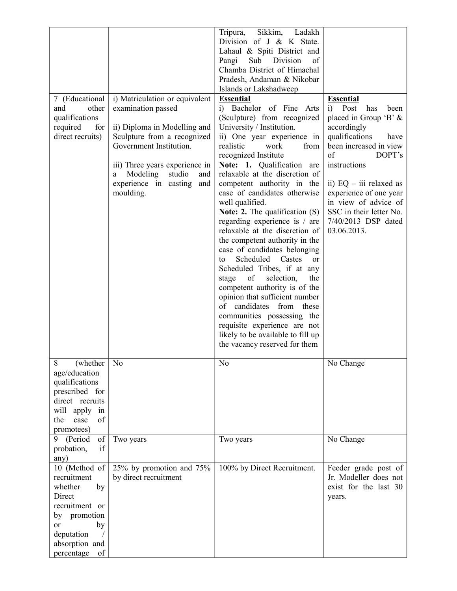| 7 (Educational<br>other<br>and<br>qualifications<br>required<br>for<br>direct recruits)                                                                              | i) Matriculation or equivalent<br>examination passed<br>ii) Diploma in Modelling and<br>Sculpture from a recognized<br>Government Institution.<br>iii) Three years experience in<br>Modeling<br>studio<br>and<br>a<br>experience in casting<br>and<br>moulding. | Sikkim,<br>Ladakh<br>Tripura,<br>Division of $J \& K$ State.<br>Lahaul & Spiti District and<br>Division<br>Pangi<br>Sub<br>of<br>Chamba District of Himachal<br>Pradesh, Andaman & Nikobar<br>Islands or Lakshadweep<br><b>Essential</b><br>Bachelor of Fine Arts<br>i)<br>(Sculpture) from recognized<br>University / Institution.<br>ii) One year experience in<br>realistic<br>work<br>from<br>recognized Institute<br>Note: 1. Qualification<br>are<br>relaxable at the discretion of<br>competent authority in the<br>case of candidates otherwise<br>well qualified.<br>Note: 2. The qualification $(S)$<br>regarding experience is / are<br>relaxable at the discretion of<br>the competent authority in the<br>case of candidates belonging<br>Scheduled Castes<br><sub>or</sub><br>to<br>Scheduled Tribes, if at any<br>of<br>selection,<br>the<br>stage<br>competent authority is of the<br>opinion that sufficient number<br>candidates<br>of<br>these<br>from | <b>Essential</b><br>Post<br>has<br>been<br>i)<br>placed in Group 'B' &<br>accordingly<br>qualifications<br>have<br>been increased in view<br>of<br>DOPT's<br>instructions<br>ii) $EQ - iii$ relaxed as<br>experience of one year<br>in view of advice of<br>SSC in their letter No.<br>7/40/2013 DSP dated<br>03.06.2013. |
|----------------------------------------------------------------------------------------------------------------------------------------------------------------------|-----------------------------------------------------------------------------------------------------------------------------------------------------------------------------------------------------------------------------------------------------------------|---------------------------------------------------------------------------------------------------------------------------------------------------------------------------------------------------------------------------------------------------------------------------------------------------------------------------------------------------------------------------------------------------------------------------------------------------------------------------------------------------------------------------------------------------------------------------------------------------------------------------------------------------------------------------------------------------------------------------------------------------------------------------------------------------------------------------------------------------------------------------------------------------------------------------------------------------------------------------|---------------------------------------------------------------------------------------------------------------------------------------------------------------------------------------------------------------------------------------------------------------------------------------------------------------------------|
|                                                                                                                                                                      |                                                                                                                                                                                                                                                                 | requisite experience are not<br>likely to be available to fill up<br>the vacancy reserved for them                                                                                                                                                                                                                                                                                                                                                                                                                                                                                                                                                                                                                                                                                                                                                                                                                                                                        |                                                                                                                                                                                                                                                                                                                           |
| 8<br>(whether<br>age/education<br>qualifications<br>prescribed for<br>direct recruits<br>will apply in<br>the<br>case<br>of<br>promotees)                            | N <sub>o</sub>                                                                                                                                                                                                                                                  | N <sub>o</sub>                                                                                                                                                                                                                                                                                                                                                                                                                                                                                                                                                                                                                                                                                                                                                                                                                                                                                                                                                            | No Change                                                                                                                                                                                                                                                                                                                 |
| 9 (Period<br>of<br>if<br>probation,<br>any)                                                                                                                          | Two years                                                                                                                                                                                                                                                       | Two years                                                                                                                                                                                                                                                                                                                                                                                                                                                                                                                                                                                                                                                                                                                                                                                                                                                                                                                                                                 | No Change                                                                                                                                                                                                                                                                                                                 |
| 10 (Method of<br>recruitment<br>whether<br>by<br>Direct<br>recruitment or<br>by promotion<br><sub>or</sub><br>by<br>deputation<br>absorption and<br>percentage<br>of | 25% by promotion and 75%<br>by direct recruitment                                                                                                                                                                                                               | 100% by Direct Recruitment.                                                                                                                                                                                                                                                                                                                                                                                                                                                                                                                                                                                                                                                                                                                                                                                                                                                                                                                                               | Feeder grade post of<br>Jr. Modeller does not<br>exist for the last 30<br>years.                                                                                                                                                                                                                                          |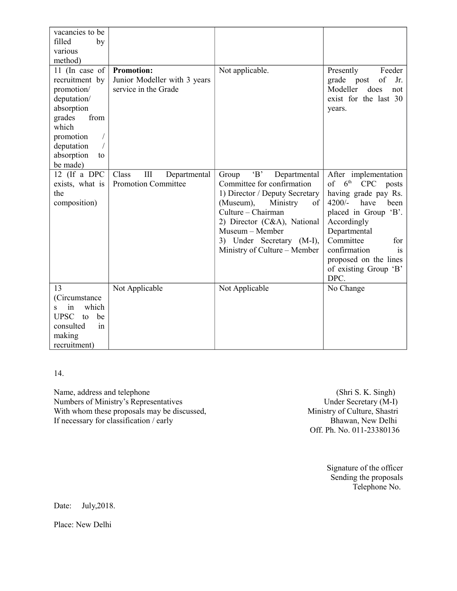| vacancies to be<br>filled<br>by<br>various<br>method)                                                                                                             |                                                                           |                                                                                                                                                                                                                                                                |                                                                                                                                                                                                                                                                                          |
|-------------------------------------------------------------------------------------------------------------------------------------------------------------------|---------------------------------------------------------------------------|----------------------------------------------------------------------------------------------------------------------------------------------------------------------------------------------------------------------------------------------------------------|------------------------------------------------------------------------------------------------------------------------------------------------------------------------------------------------------------------------------------------------------------------------------------------|
| 11 (In case of<br>recruitment by<br>promotion/<br>deputation/<br>absorption<br>grades<br>from<br>which<br>promotion<br>deputation<br>absorption<br>to<br>be made) | <b>Promotion:</b><br>Junior Modeller with 3 years<br>service in the Grade | Not applicable.                                                                                                                                                                                                                                                | Presently<br>Feeder<br>of<br>grade post<br>Jr.<br>Modeller<br>does<br>not<br>exist for the last 30<br>years.                                                                                                                                                                             |
| 12 (If a DPC<br>exists, what is<br>the<br>composition)                                                                                                            | Class<br>III<br>Departmental<br><b>Promotion Committee</b>                | B<br>Group<br>Departmental<br>Committee for confirmation<br>1) Director / Deputy Secretary<br>(Museum),<br>Ministry<br>of<br>Culture - Chairman<br>2) Director (C&A), National<br>Museum - Member<br>3) Under Secretary (M-I),<br>Ministry of Culture – Member | After implementation<br>$6^{\rm th}$<br>$\sigma$ f<br><b>CPC</b><br>posts<br>having grade pay Rs.<br>$4200/-$<br>have<br>been<br>placed in Group 'B'.<br>Accordingly<br>Departmental<br>Committee<br>for<br>confirmation<br>is<br>proposed on the lines<br>of existing Group 'B'<br>DPC. |
| 13<br>(Circumstance<br>which<br>in<br><b>UPSC</b><br>be<br>to<br>consulted<br>in<br>making<br>recruitment)                                                        | Not Applicable                                                            | Not Applicable                                                                                                                                                                                                                                                 | No Change                                                                                                                                                                                                                                                                                |

14.

Name, address and telephone (Shri S. K. Singh)<br>
Numbers of Ministry's Representatives Under Secretary (M-I) Numbers of Ministry's Representatives<br>
With whom these proposals may be discussed,<br>
Ministry of Culture, Shastri With whom these proposals may be discussed, If necessary for classification / early Bhawan, New Delhi

Off. Ph. No. 011-23380136

Signature of the officer Sending the proposals Telephone No.

Date: July, 2018.

Place: New Delhi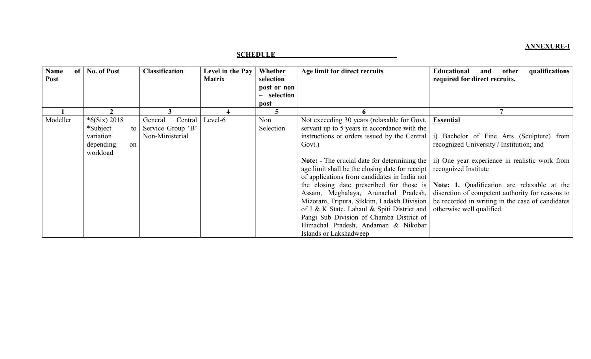## **ANNEXURE-I**

## **SCHEDULE**

| <b>Name</b><br>of<br>Post | <b>No. of Post</b> |          | <b>Classification</b> | Level in the Pay<br><b>Matrix</b> | Whether<br>selection | Age limit for direct recruits                                                 | qualifications<br><b>Educational</b><br>other<br>and<br>required for direct recruits.                      |  |
|---------------------------|--------------------|----------|-----------------------|-----------------------------------|----------------------|-------------------------------------------------------------------------------|------------------------------------------------------------------------------------------------------------|--|
|                           |                    |          |                       |                                   | post or non          |                                                                               |                                                                                                            |  |
|                           |                    |          |                       |                                   | - selection          |                                                                               |                                                                                                            |  |
|                           |                    |          |                       |                                   | post                 |                                                                               |                                                                                                            |  |
|                           |                    |          |                       |                                   | Э                    |                                                                               |                                                                                                            |  |
| Modeller                  | $*6(Six) 2018$     |          | Central<br>General    | Level-6                           | Non                  | Not exceeding 30 years (relaxable for Govt.                                   | <b>Essential</b>                                                                                           |  |
|                           | *Subject           | to l     | Service Group 'B'     |                                   | Selection            | servant up to 5 years in accordance with the                                  |                                                                                                            |  |
|                           | variation          |          | Non-Ministerial       |                                   |                      | instructions or orders issued by the Central                                  | Bachelor of Fine Arts (Sculpture) from<br>$\mathbf{i}$                                                     |  |
|                           | depending          | $\alpha$ |                       |                                   |                      | Govt.)                                                                        | recognized University / Institution; and                                                                   |  |
|                           | workload           |          |                       |                                   |                      |                                                                               |                                                                                                            |  |
|                           |                    |          |                       |                                   |                      |                                                                               | <b>Note:</b> - The crucial date for determining the $\vert$ ii) One year experience in realistic work from |  |
|                           |                    |          |                       |                                   |                      | age limit shall be the closing date for receipt $\vert$ recognized Institute  |                                                                                                            |  |
|                           |                    |          |                       |                                   |                      | of applications from candidates in India not                                  |                                                                                                            |  |
|                           |                    |          |                       |                                   |                      |                                                                               | the closing date prescribed for those is Note: 1. Qualification are relaxable at the                       |  |
|                           |                    |          |                       |                                   |                      | Assam, Meghalaya, Arunachal Pradesh,                                          | discretion of competent authority for reasons to                                                           |  |
|                           |                    |          |                       |                                   |                      |                                                                               | Mizoram, Tripura, Sikkim, Ladakh Division   be recorded in writing in the case of candidates               |  |
|                           |                    |          |                       |                                   |                      | of J & K State. Lahaul & Spiti District and $\vert$ otherwise well qualified. |                                                                                                            |  |
|                           |                    |          |                       |                                   |                      | Pangi Sub Division of Chamba District of                                      |                                                                                                            |  |
|                           |                    |          |                       |                                   |                      | Himachal Pradesh, Andaman & Nikobar                                           |                                                                                                            |  |
|                           |                    |          |                       |                                   |                      | Islands or Lakshadweep                                                        |                                                                                                            |  |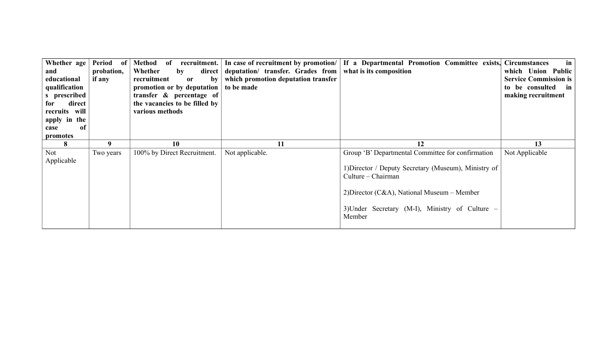| Whether age<br>and<br>educational<br>qualification<br>s prescribed<br>direct<br>for<br>recruits will<br>apply in the<br>of<br>case<br>promotes | Period<br>- of<br>probation,<br>if any | Method<br>recruitment.<br>of<br>Whether<br>direct  <br>$\mathbf{b} \mathbf{y}$<br>recruitment<br><b>or</b><br>by<br>promotion or by deputation<br>transfer & percentage of<br>the vacancies to be filled by<br>various methods | deputation/ transfer. Grades from<br>which promotion deputation transfer<br>to be made | In case of recruitment by promotion/ If a Departmental Promotion Committee exists, Circumstances<br>what is its composition                                                                                                                     | $\mathbf{in}$<br>which Union Public<br><b>Service Commission is</b><br>to be consulted in<br>making recruitment |
|------------------------------------------------------------------------------------------------------------------------------------------------|----------------------------------------|--------------------------------------------------------------------------------------------------------------------------------------------------------------------------------------------------------------------------------|----------------------------------------------------------------------------------------|-------------------------------------------------------------------------------------------------------------------------------------------------------------------------------------------------------------------------------------------------|-----------------------------------------------------------------------------------------------------------------|
| 8                                                                                                                                              | 9                                      | 10                                                                                                                                                                                                                             | 11                                                                                     | 12                                                                                                                                                                                                                                              | 13                                                                                                              |
| Not<br>Applicable                                                                                                                              | Two years                              | 100% by Direct Recruitment.                                                                                                                                                                                                    | Not applicable.                                                                        | Group 'B' Departmental Committee for confirmation<br>1) Director / Deputy Secretary (Museum), Ministry of<br>Culture – Chairman<br>2) Director ( $C&A$ ), National Museum – Member<br>3) Under Secretary (M-I), Ministry of Culture –<br>Member | Not Applicable                                                                                                  |